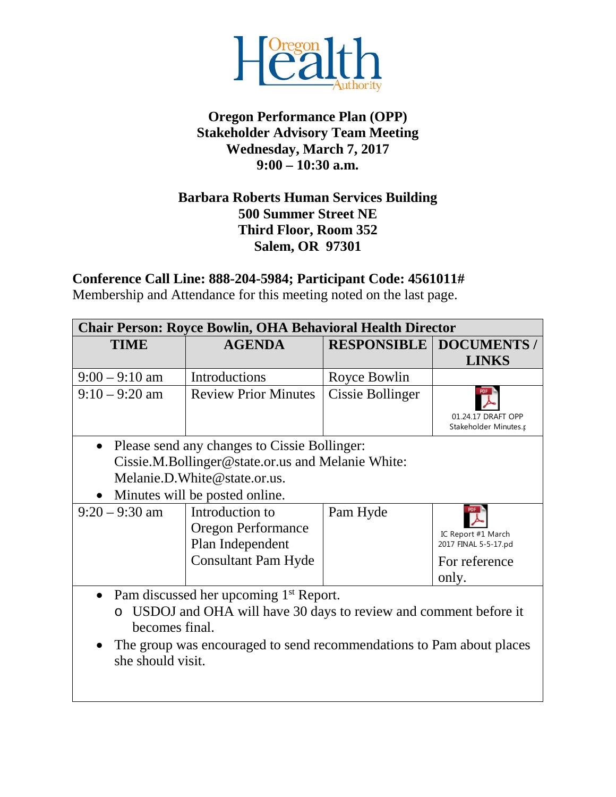

### **Oregon Performance Plan (OPP) Stakeholder Advisory Team Meeting Wednesday, March 7, 2017 9:00 – 10:30 a.m.**

#### **Barbara Roberts Human Services Building 500 Summer Street NE Third Floor, Room 352 Salem, OR 97301**

**Conference Call Line: 888-204-5984; Participant Code: 4561011#**

Membership and Attendance for this meeting noted on the last page.

| <b>Chair Person: Royce Bowlin, OHA Behavioral Health Director</b>    |                                                   |                    |                                             |  |
|----------------------------------------------------------------------|---------------------------------------------------|--------------------|---------------------------------------------|--|
| <b>TIME</b>                                                          | <b>AGENDA</b>                                     | <b>RESPONSIBLE</b> | <b>DOCUMENTS /</b>                          |  |
|                                                                      |                                                   |                    | <b>LINKS</b>                                |  |
| $9:00 - 9:10$ am                                                     | Introductions                                     | Royce Bowlin       |                                             |  |
| $9:10 - 9:20$ am                                                     | <b>Review Prior Minutes</b>                       | Cissie Bollinger   |                                             |  |
|                                                                      |                                                   |                    | 01.24.17 DRAFT OPP<br>Stakeholder Minutes.r |  |
| $\bullet$                                                            | Please send any changes to Cissie Bollinger:      |                    |                                             |  |
|                                                                      | Cissie.M.Bollinger@state.or.us and Melanie White: |                    |                                             |  |
|                                                                      | Melanie.D.White@state.or.us.                      |                    |                                             |  |
|                                                                      | Minutes will be posted online.                    |                    |                                             |  |
| $9:20 - 9:30$ am                                                     | Introduction to                                   | Pam Hyde           |                                             |  |
|                                                                      | <b>Oregon Performance</b>                         |                    | IC Report #1 March                          |  |
|                                                                      | Plan Independent                                  |                    | 2017 FINAL 5-5-17.pd                        |  |
|                                                                      | <b>Consultant Pam Hyde</b>                        |                    | For reference                               |  |
|                                                                      |                                                   |                    | only.                                       |  |
| Pam discussed her upcoming 1 <sup>st</sup> Report.<br>$\bullet$      |                                                   |                    |                                             |  |
| USDOJ and OHA will have 30 days to review and comment before it      |                                                   |                    |                                             |  |
| becomes final.                                                       |                                                   |                    |                                             |  |
| The group was encouraged to send recommendations to Pam about places |                                                   |                    |                                             |  |
| she should visit.                                                    |                                                   |                    |                                             |  |
|                                                                      |                                                   |                    |                                             |  |
|                                                                      |                                                   |                    |                                             |  |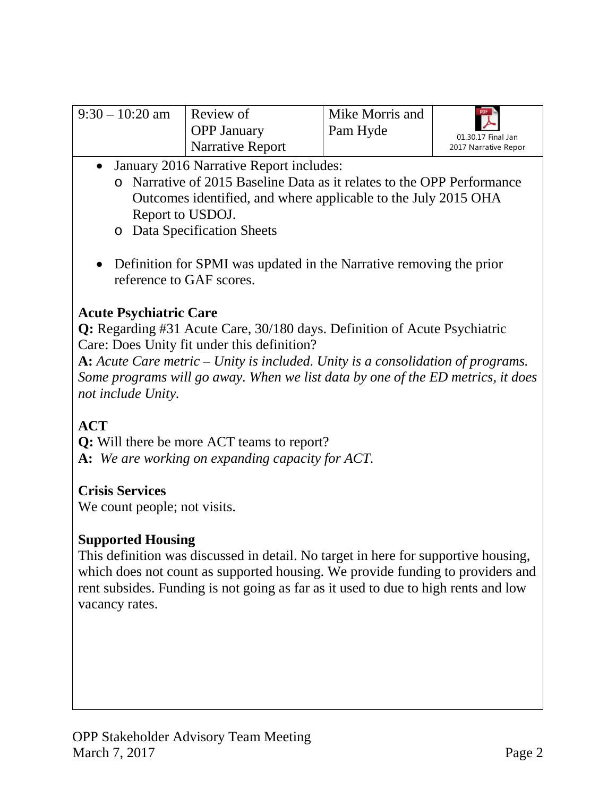| $-9:30 - 10:20$ am | Review of          | Mike Morris and | PDF N                                       |
|--------------------|--------------------|-----------------|---------------------------------------------|
|                    | <b>OPP January</b> | Pam Hyde        | $\blacktriangleright$<br>01.30.17 Final Jan |
|                    | Narrative Report   |                 | 2017 Narrative Repor                        |

- January 2016 Narrative Report includes:
	- o Narrative of 2015 Baseline Data as it relates to the OPP Performance Outcomes identified, and where applicable to the July 2015 OHA Report to USDOJ.
	- o Data Specification Sheets
- Definition for SPMI was updated in the Narrative removing the prior reference to GAF scores.

## **Acute Psychiatric Care**

**Q:** Regarding #31 Acute Care, 30/180 days. Definition of Acute Psychiatric Care: Does Unity fit under this definition?

**A:** *Acute Care metric – Unity is included. Unity is a consolidation of programs. Some programs will go away. When we list data by one of the ED metrics, it does not include Unity.* 

# **ACT**

**Q:** Will there be more ACT teams to report? **A:** *We are working on expanding capacity for ACT.*

## **Crisis Services**

We count people; not visits.

## **Supported Housing**

This definition was discussed in detail. No target in here for supportive housing, which does not count as supported housing. We provide funding to providers and rent subsides. Funding is not going as far as it used to due to high rents and low vacancy rates.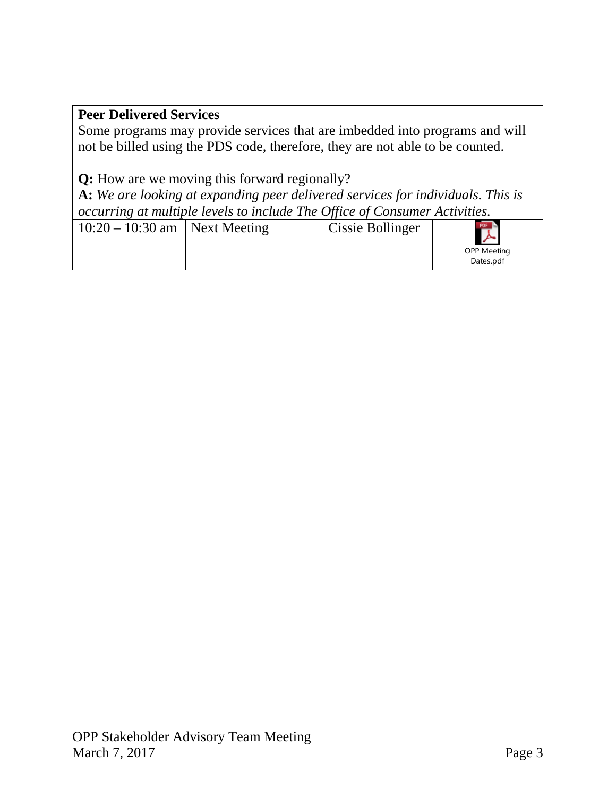### **Peer Delivered Services**

Some programs may provide services that are imbedded into programs and will not be billed using the PDS code, therefore, they are not able to be counted.

**Q:** How are we moving this forward regionally?

**A:** *We are looking at expanding peer delivered services for individuals. This is occurring at multiple levels to include The Office of Consumer Activities.* 

| $10:20 - 10:30$ am   Next Meeting |  | Cissie Bollinger | $\lambda$<br><b>OPP Meeting</b><br>Dates.pdf |
|-----------------------------------|--|------------------|----------------------------------------------|
|-----------------------------------|--|------------------|----------------------------------------------|